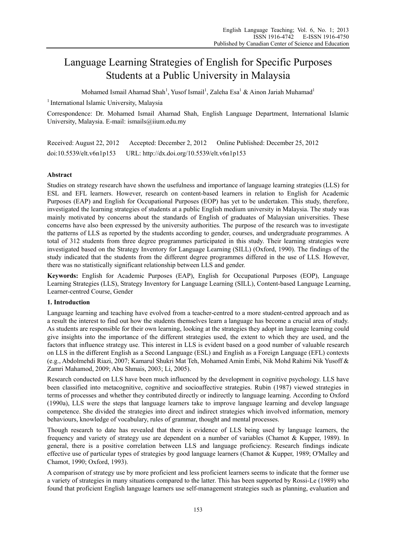# Language Learning Strategies of English for Specific Purposes Students at a Public University in Malaysia

Mohamed Ismail Ahamad Shah<sup>1</sup>, Yusof Ismail<sup>1</sup>, Zaleha Esa<sup>1</sup> & Ainon Jariah Muhamad<sup>1</sup>

<sup>1</sup> International Islamic University, Malaysia

Correspondence: Dr. Mohamed Ismail Ahamad Shah, English Language Department, International Islamic University, Malaysia. E-mail: ismails@iium.edu.my

Received: August 22, 2012 Accepted: December 2, 2012 Online Published: December 25, 2012 doi:10.5539/elt.v6n1p153 URL: http://dx.doi.org/10.5539/elt.v6n1p153

# **Abstract**

Studies on strategy research have shown the usefulness and importance of language learning strategies (LLS) for ESL and EFL learners. However, research on content-based learners in relation to English for Academic Purposes (EAP) and English for Occupational Purposes (EOP) has yet to be undertaken. This study, therefore, investigated the learning strategies of students at a public English medium university in Malaysia. The study was mainly motivated by concerns about the standards of English of graduates of Malaysian universities. These concerns have also been expressed by the university authorities. The purpose of the research was to investigate the patterns of LLS as reported by the students according to gender, courses, and undergraduate programmes. A total of 312 students from three degree programmes participated in this study. Their learning strategies were investigated based on the Strategy Inventory for Language Learning (SILL) (Oxford, 1990). The findings of the study indicated that the students from the different degree programmes differed in the use of LLS. However, there was no statistically significant relationship between LLS and gender.

**Keywords:** English for Academic Purposes (EAP), English for Occupational Purposes (EOP), Language Learning Strategies (LLS), Strategy Inventory for Language Learning (SILL), Content-based Language Learning, Learner-centred Course, Gender

## **1. Introduction**

Language learning and teaching have evolved from a teacher-centred to a more student-centred approach and as a result the interest to find out how the students themselves learn a language has become a crucial area of study. As students are responsible for their own learning, looking at the strategies they adopt in language learning could give insights into the importance of the different strategies used, the extent to which they are used, and the factors that influence strategy use. This interest in LLS is evident based on a good number of valuable research on LLS in the different English as a Second Language (ESL) and English as a Foreign Language (EFL) contexts (e.g., Abdolmehdi Riazi, 2007; Kamarul Shukri Mat Teh, Mohamed Amin Embi, Nik Mohd Rahimi Nik Yusoff & Zamri Mahamod, 2009; Abu Shmais, 2003; Li, 2005).

Research conducted on LLS have been much influenced by the development in cognitive psychology. LLS have been classified into metacognitive, cognitive and socioaffective strategies. Rubin (1987) viewed strategies in terms of processes and whether they contributed directly or indirectly to language learning. According to Oxford (1990a), LLS were the steps that language learners take to improve language learning and develop language competence. She divided the strategies into direct and indirect strategies which involved information, memory behaviours, knowledge of vocabulary, rules of grammar, thought and mental processes.

Though research to date has revealed that there is evidence of LLS being used by language learners, the frequency and variety of strategy use are dependent on a number of variables (Chamot & Kupper, 1989). In general, there is a positive correlation between LLS and language proficiency. Research findings indicate effective use of particular types of strategies by good language learners (Chamot & Kupper, 1989; O'Malley and Chamot, 1990; Oxford, 1993).

A comparison of strategy use by more proficient and less proficient learners seems to indicate that the former use a variety of strategies in many situations compared to the latter. This has been supported by Rossi-Le (1989) who found that proficient English language learners use self-management strategies such as planning, evaluation and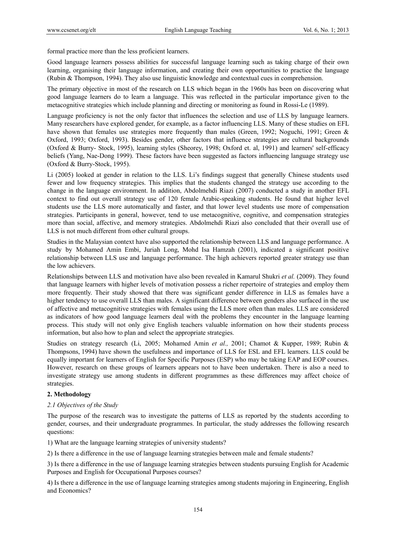formal practice more than the less proficient learners.

Good language learners possess abilities for successful language learning such as taking charge of their own learning, organising their language information, and creating their own opportunities to practice the language (Rubin & Thompson, 1994). They also use linguistic knowledge and contextual cues in comprehension.

The primary objective in most of the research on LLS which began in the 1960s has been on discovering what good language learners do to learn a language. This was reflected in the particular importance given to the metacognitive strategies which include planning and directing or monitoring as found in Rossi-Le (1989).

Language proficiency is not the only factor that influences the selection and use of LLS by language learners. Many researchers have explored gender, for example, as a factor influencing LLS. Many of these studies on EFL have shown that females use strategies more frequently than males (Green, 1992; Noguchi, 1991; Green & Oxford, 1993; Oxford, 1993). Besides gender, other factors that influence strategies are cultural backgrounds (Oxford & Burry- Stock, 1995), learning styles (Sheorey, 1998; Oxford et. al, 1991) and learners' self-efficacy beliefs (Yang, Nae-Dong 1999). These factors have been suggested as factors influencing language strategy use (Oxford & Burry-Stock, 1995).

Li (2005) looked at gender in relation to the LLS. Li's findings suggest that generally Chinese students used fewer and low frequency strategies. This implies that the students changed the strategy use according to the change in the language environment. In addition, Abdolmehdi Riazi (2007) conducted a study in another EFL context to find out overall strategy use of 120 female Arabic-speaking students. He found that higher level students use the LLS more automatically and faster, and that lower level students use more of compensation strategies. Participants in general, however, tend to use metacognitive, cognitive, and compensation strategies more than social, affective, and memory strategies. Abdolmehdi Riazi also concluded that their overall use of LLS is not much different from other cultural groups.

Studies in the Malaysian context have also supported the relationship between LLS and language performance. A study by Mohamed Amin Embi, Juriah Long, Mohd Isa Hamzah (2001), indicated a significant positive relationship between LLS use and language performance. The high achievers reported greater strategy use than the low achievers.

Relationships between LLS and motivation have also been revealed in Kamarul Shukri *et al.* (2009). They found that language learners with higher levels of motivation possess a richer repertoire of strategies and employ them more frequently. Their study showed that there was significant gender difference in LLS as females have a higher tendency to use overall LLS than males. A significant difference between genders also surfaced in the use of affective and metacognitive strategies with females using the LLS more often than males. LLS are considered as indicators of how good language learners deal with the problems they encounter in the language learning process. This study will not only give English teachers valuable information on how their students process information, but also how to plan and select the appropriate strategies.

Studies on strategy research (Li, 2005; Mohamed Amin *et al.,* 2001; Chamot & Kupper, 1989; Rubin & Thompsons, 1994) have shown the usefulness and importance of LLS for ESL and EFL learners. LLS could be equally important for learners of English for Specific Purposes (ESP) who may be taking EAP and EOP courses. However, research on these groups of learners appears not to have been undertaken. There is also a need to investigate strategy use among students in different programmes as these differences may affect choice of strategies.

## **2. Methodology**

#### *2.1 Objectives of the Study*

The purpose of the research was to investigate the patterns of LLS as reported by the students according to gender, courses, and their undergraduate programmes. In particular, the study addresses the following research questions:

1) What are the language learning strategies of university students?

2) Is there a difference in the use of language learning strategies between male and female students?

3) Is there a difference in the use of language learning strategies between students pursuing English for Academic Purposes and English for Occupational Purposes courses?

4) Is there a difference in the use of language learning strategies among students majoring in Engineering, English and Economics?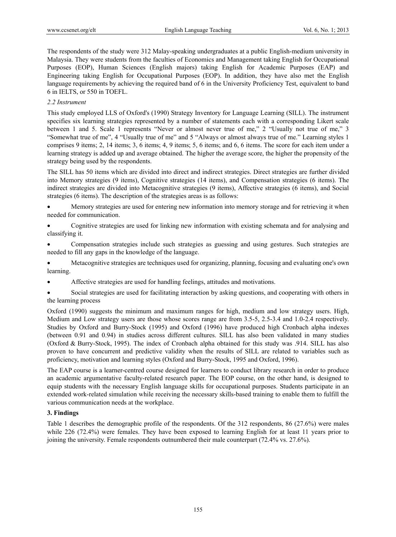The respondents of the study were 312 Malay-speaking undergraduates at a public English-medium university in Malaysia. They were students from the faculties of Economics and Management taking English for Occupational Purposes (EOP), Human Sciences (English majors) taking English for Academic Purposes (EAP) and Engineering taking English for Occupational Purposes (EOP). In addition, they have also met the English language requirements by achieving the required band of 6 in the University Proficiency Test, equivalent to band 6 in IELTS, or 550 in TOEFL.

## *2.2 Instrument*

This study employed LLS of Oxford's (1990) Strategy Inventory for Language Learning (SILL). The instrument specifies six learning strategies represented by a number of statements each with a corresponding Likert scale between 1 and 5. Scale 1 represents "Never or almost never true of me," 2 "Usually not true of me," 3 "Somewhat true of me", 4 "Usually true of me" and 5 "Always or almost always true of me." Learning styles 1 comprises 9 items; 2, 14 items; 3, 6 items; 4, 9 items; 5, 6 items; and 6, 6 items. The score for each item under a learning strategy is added up and average obtained. The higher the average score, the higher the propensity of the strategy being used by the respondents.

The SILL has 50 items which are divided into direct and indirect strategies. Direct strategies are further divided into Memory strategies (9 items), Cognitive strategies (14 items), and Compensation strategies (6 items). The indirect strategies are divided into Metacognitive strategies (9 items), Affective strategies (6 items), and Social strategies (6 items). The description of the strategies areas is as follows:

 Memory strategies are used for entering new information into memory storage and for retrieving it when needed for communication.

- Cognitive strategies are used for linking new information with existing schemata and for analysing and classifying it.
- Compensation strategies include such strategies as guessing and using gestures. Such strategies are needed to fill any gaps in the knowledge of the language.

 Metacognitive strategies are techniques used for organizing, planning, focusing and evaluating one's own learning.

- Affective strategies are used for handling feelings, attitudes and motivations.
- Social strategies are used for facilitating interaction by asking questions, and cooperating with others in the learning process

Oxford (1990) suggests the minimum and maximum ranges for high, medium and low strategy users. High, Medium and Low strategy users are those whose scores range are from 3.5-5, 2.5-3.4 and 1.0-2.4 respectively. Studies by Oxford and Burry-Stock (1995) and Oxford (1996) have produced high Cronbach alpha indexes (between 0.91 and 0.94) in studies across different cultures. SILL has also been validated in many studies (Oxford & Burry-Stock, 1995). The index of Cronbach alpha obtained for this study was .914. SILL has also proven to have concurrent and predictive validity when the results of SILL are related to variables such as proficiency, motivation and learning styles (Oxford and Burry-Stock, 1995 and Oxford, 1996).

The EAP course is a learner-centred course designed for learners to conduct library research in order to produce an academic argumentative faculty-related research paper. The EOP course, on the other hand, is designed to equip students with the necessary English language skills for occupational purposes. Students participate in an extended work-related simulation while receiving the necessary skills-based training to enable them to fulfill the various communication needs at the workplace.

## **3. Findings**

Table 1 describes the demographic profile of the respondents. Of the 312 respondents, 86 (27.6%) were males while 226 (72.4%) were females. They have been exposed to learning English for at least 11 years prior to joining the university. Female respondents outnumbered their male counterpart (72.4% vs. 27.6%).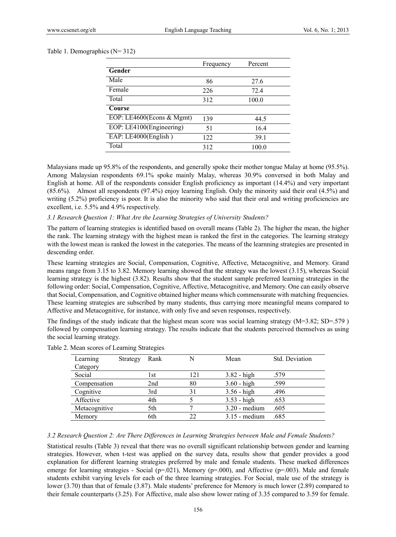#### Table 1. Demographics (N= 312)

|                           | Frequency | Percent |
|---------------------------|-----------|---------|
| Gender                    |           |         |
| Male                      | 86        | 27.6    |
| Female                    | 226       | 72.4    |
| Total                     | 312       | 100.0   |
| Course                    |           |         |
| EOP: LE4600(Econs & Mgmt) | 139       | 44.5    |
| EOP: LE4100(Engineering)  | 51        | 16.4    |
| EAP: LE4000(English)      | 122       | 39.1    |
| Total                     | 312       | 100.0   |

Malaysians made up 95.8% of the respondents, and generally spoke their mother tongue Malay at home (95.5%). Among Malaysian respondents 69.1% spoke mainly Malay, whereas 30.9% conversed in both Malay and English at home. All of the respondents consider English proficiency as important (14.4%) and very important (85.6%). Almost all respondents (97.4%) enjoy learning English. Only the minority said their oral (4.5%) and writing (5.2%) proficiency is poor. It is also the minority who said that their oral and writing proficiencies are excellent, i.e. 5.5% and 4.9% respectively.

#### *3.1 Research Question 1: What Are the Learning Strategies of University Students?*

The pattern of learning strategies is identified based on overall means (Table 2). The higher the mean, the higher the rank. The learning strategy with the highest mean is ranked the first in the categories. The learning strategy with the lowest mean is ranked the lowest in the categories. The means of the learnning strategies are presented in descending order.

These learning strategies are Social, Compensation, Cognitive, Affective, Metacognitive, and Memory. Grand means range from 3.15 to 3.82. Memory learning showed that the strategy was the lowest (3.15), whereas Social learning strategy is the highest (3.82). Results show that the student sample preferred learning strategies in the following order: Social, Compensation, Cognitive, Affective, Metacognitive, and Memory. One can easily observe that Social, Compensation, and Cognitive obtained higher means which commensurate with matching frequencies. These learning strategies are subscribed by many students, thus carrying more meaningful means compared to Affective and Metacognitive, for instance, with only five and seven responses, respectively.

The findings of the study indicate that the highest mean score was social learning strategy (M=3.82; SD=.579 ) followed by compensation learning strategy. The results indicate that the students perceived themselves as using the social learning strategy.

| Learning      | Strategy | Rank |     | Mean            | Std. Deviation |
|---------------|----------|------|-----|-----------------|----------------|
| Category      |          |      |     |                 |                |
| Social        |          | l st | 121 | $3.82 - high$   | .579           |
| Compensation  |          | 2nd  | 80  | $3.60 - high$   | .599           |
| Cognitive     |          | 3rd  | 31  | $3.56 - high$   | .496           |
| Affective     |          | 4th  |     | $3.53 - high$   | .653           |
| Metacognitive |          | 5th  |     | $3.20$ - medium | .605           |
| Memory        |          | 6th  | 22  | $3.15$ - medium | .685           |

| Table 2. Mean scores of Learning Strategies |  |  |  |
|---------------------------------------------|--|--|--|
|---------------------------------------------|--|--|--|

#### *3.2 Research Question 2: Are There Differences in Learning Strategies between Male and Female Students?*

Statistical results (Table 3) reveal that there was no overall significant relationship between gender and learning strategies. However, when t-test was applied on the survey data, results show that gender provides a good explanation for different learning strategies preferred by male and female students. These marked differences emerge for learning strategies - Social ( $p=0.021$ ), Memory ( $p=0.000$ ), and Affective ( $p=0.003$ ). Male and female students exhibit varying levels for each of the three learning strategies. For Social, male use of the strategy is lower (3.70) than that of female (3.87). Male students' preference for Memory is much lower (2.89) compared to their female counterparts (3.25). For Affective, male also show lower rating of 3.35 compared to 3.59 for female.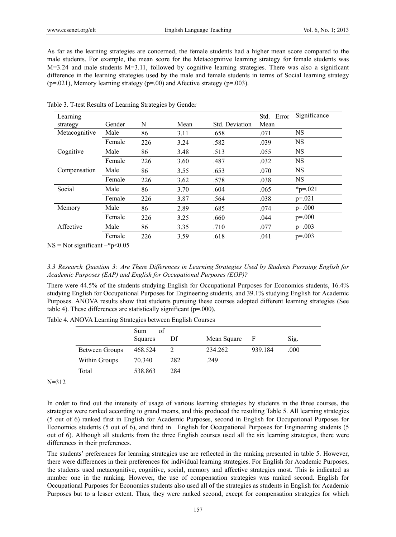As far as the learning strategies are concerned, the female students had a higher mean score compared to the male students. For example, the mean score for the Metacognitive learning strategy for female students was M=3.24 and male students M=3.11, followed by cognitive learning strategies. There was also a significant difference in the learning strategies used by the male and female students in terms of Social learning strategy  $(p=0.021)$ , Memory learning strategy  $(p=0.00)$  and Afective strategy  $(p=0.003)$ .

| Learning      |        |     |      |                | Std. Error | Significance  |
|---------------|--------|-----|------|----------------|------------|---------------|
| strategy      | Gender | N   | Mean | Std. Deviation | Mean       |               |
| Metacognitive | Male   | 86  | 3.11 | .658           | .071       | NS            |
|               | Female | 226 | 3.24 | .582           | .039       | <b>NS</b>     |
| Cognitive     | Male   | 86  | 3.48 | .513           | .055       | <b>NS</b>     |
|               | Female | 226 | 3.60 | .487           | .032       | <b>NS</b>     |
| Compensation  | Male   | 86  | 3.55 | .653           | .070       | <b>NS</b>     |
|               | Female | 226 | 3.62 | .578           | .038       | <b>NS</b>     |
| Social        | Male   | 86  | 3.70 | .604           | .065       | $*_{p=0.021}$ |
|               | Female | 226 | 3.87 | .564           | .038       | $p = 0.021$   |
| Memory        | Male   | 86  | 2.89 | .685           | .074       | $p = 000$     |
|               | Female | 226 | 3.25 | .660           | .044       | $p = 000$     |
| Affective     | Male   | 86  | 3.35 | .710           | .077       | $p=.003$      |
|               | Female | 226 | 3.59 | .618           | .041       | $p=.003$      |

Table 3. T-test Results of Learning Strategies by Gender

 $NS = Not significant - *p* < 0.05$ 

*3.3 Research Question 3: Are There Differences in Learning Strategies Used by Students Pursuing English for Academic Purposes (EAP) and English for Occupational Purposes (EOP)?* 

There were 44.5% of the students studying English for Occupational Purposes for Economics students, 16.4% studying English for Occupational Purposes for Engineering students, and 39.1% studying English for Academic Purposes. ANOVA results show that students pursuing these courses adopted different learning strategies (See table 4). These differences are statistically significant (p=.000).

|                | of<br>Sum |     |             |         |      |
|----------------|-----------|-----|-------------|---------|------|
|                | Squares   | Df  | Mean Square | - F     | Sig. |
| Between Groups | 468.524   |     | 234.262     | 939.184 | .000 |
| Within Groups  | 70.340    | 282 | .249        |         |      |
| Total          | 538.863   | 284 |             |         |      |

Table 4. ANOVA Learning Strategies between English Courses

 $N=312$ 

In order to find out the intensity of usage of various learning strategies by students in the three courses, the strategies were ranked according to grand means, and this produced the resulting Table 5. All learning strategies (5 out of 6) ranked first in English for Academic Purposes, second in English for Occupational Purposes for Economics students (5 out of 6), and third in English for Occupational Purposes for Engineering students (5 out of 6). Although all students from the three English courses used all the six learning strategies, there were differences in their preferences.

The students' preferences for learning strategies use are reflected in the ranking presented in table 5. However, there were differences in their preferences for individual learning strategies. For English for Academic Purposes, the students used metacognitive, cognitive, social, memory and affective strategies most. This is indicated as number one in the ranking. However, the use of compensation strategies was ranked second. English for Occupational Purposes for Economics students also used all of the strategies as students in English for Academic Purposes but to a lesser extent. Thus, they were ranked second, except for compensation strategies for which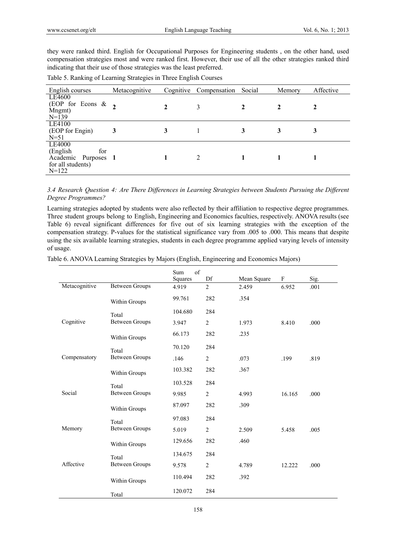they were ranked third. English for Occupational Purposes for Engineering students , on the other hand, used compensation strategies most and were ranked first. However, their use of all the other strategies ranked third indicating that their use of those strategies was the least preferred.

| English courses                                                                  | Metacognitive      |   | Cognitive Compensation | Social | Memory | Affective |
|----------------------------------------------------------------------------------|--------------------|---|------------------------|--------|--------|-----------|
| LE4600<br>(EOP for Econs $\&$<br>Mngmt)<br>$N=139$                               | $\mathbf{\hat{z}}$ |   | 3                      |        |        |           |
| LE4100<br>(EOP for Engin)<br>$N = 51$                                            | 3                  | 3 |                        | 3      | 3      | 3         |
| LE4000<br>(English<br>for<br>Academic Purposes 1<br>for all students)<br>$N=122$ |                    |   | $\overline{c}$         |        |        |           |

*3.4 Research Question 4: Are There Differences in Learning Strategies between Students Pursuing the Different Degree Programmes?* 

Learning strategies adopted by students were also reflected by their affiliation to respective degree programmes. Three student groups belong to English, Engineering and Economics faculties, respectively. ANOVA results (see Table 6) reveal significant differences for five out of six learning strategies with the exception of the compensation strategy. P-values for the statistical significance vary from .005 to .000. This means that despite using the six available learning strategies, students in each degree programme applied varying levels of intensity of usage.

Table 6. ANOVA Learning Strategies by Majors (English, Engineering and Economics Majors)

|               |                       | of<br>Sum<br>Squares | Df             | Mean Square | F      | Sig. |
|---------------|-----------------------|----------------------|----------------|-------------|--------|------|
| Metacognitive | <b>Between Groups</b> | 4.919                | $\overline{2}$ | 2.459       | 6.952  | .001 |
|               | Within Groups         | 99.761               | 282            | .354        |        |      |
|               | Total                 | 104.680              | 284            |             |        |      |
| Cognitive     | <b>Between Groups</b> | 3.947                | $\overline{c}$ | 1.973       | 8.410  | .000 |
|               | Within Groups         | 66.173               | 282            | .235        |        |      |
|               | Total                 | 70.120               | 284            |             |        |      |
| Compensatory  | <b>Between Groups</b> | .146                 | $\overline{2}$ | .073        | .199   | .819 |
|               | Within Groups         | 103.382              | 282            | .367        |        |      |
|               | Total                 | 103.528              | 284            |             |        |      |
| Social        | <b>Between Groups</b> | 9.985                | 2              | 4.993       | 16.165 | .000 |
|               | Within Groups         | 87.097               | 282            | .309        |        |      |
|               | Total                 | 97.083               | 284            |             |        |      |
| Memory        | <b>Between Groups</b> | 5.019                | $\overline{2}$ | 2.509       | 5.458  | .005 |
|               | Within Groups         | 129.656              | 282            | .460        |        |      |
|               | Total                 | 134.675              | 284            |             |        |      |
| Affective     | <b>Between Groups</b> | 9.578                | $\overline{2}$ | 4.789       | 12.222 | .000 |
|               | Within Groups         | 110.494              | 282            | .392        |        |      |
|               | Total                 | 120.072              | 284            |             |        |      |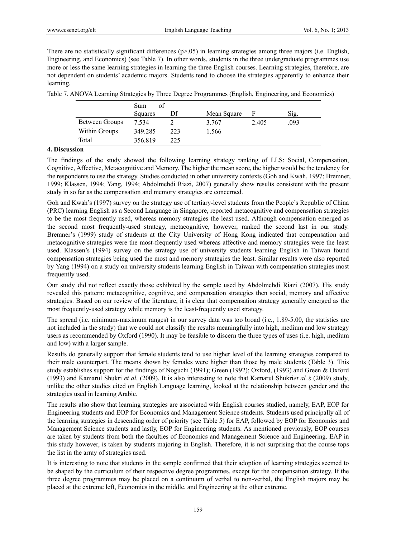There are no statistically significant differences  $(p>0.05)$  in learning strategies among three majors (i.e. English, Engineering, and Economics) (see Table 7). In other words, students in the three undergraduate programmes use more or less the same learning strategies in learning the three English courses. Learning strategies, therefore, are not dependent on students' academic majors. Students tend to choose the strategies apparently to enhance their learning.

Table 7. ANOVA Learning Strategies by Three Degree Programmes (English, Engineering, and Economics)

|                | Sum<br>оf |     |             |       |      |
|----------------|-----------|-----|-------------|-------|------|
|                | Squares   | Df  | Mean Square |       | Sig. |
| Between Groups | 7.534     |     | 3.767       | 2.405 | .093 |
| Within Groups  | 349.285   | 223 | 1.566       |       |      |
| Total          | 356.819   | 225 |             |       |      |

# **4. Discussion**

The findings of the study showed the following learning strategy ranking of LLS: Social, Compensation, Cognitive, Affective, Metacognitive and Memory. The higher the mean score, the higher would be the tendency for the respondents to use the strategy. Studies conducted in other university contexts (Goh and Kwah, 1997; Bremner, 1999; Klassen, 1994; Yang, 1994; Abdolmehdi Riazi, 2007) generally show results consistent with the present study in so far as the compensation and memory strategies are concerned.

Goh and Kwah's (1997) survey on the strategy use of tertiary-level students from the People's Republic of China (PRC) learning English as a Second Language in Singapore, reported metacognitive and compensation strategies to be the most frequently used, whereas memory strategies the least used. Although compensation emerged as the second most frequently-used strategy, metacognitive, however, ranked the second last in our study. Bremner's (1999) study of students at the City University of Hong Kong indicated that compensation and metacognitive strategies were the most-frequently used whereas affective and memory strategies were the least used. Klassen's (1994) survey on the strategy use of university students learning English in Taiwan found compensation strategies being used the most and memory strategies the least. Similar results were also reported by Yang (1994) on a study on university students learning English in Taiwan with compensation strategies most frequently used.

Our study did not reflect exactly those exhibited by the sample used by Abdolmehdi Riazi (2007). His study revealed this pattern: metacognitive, cognitive, and compensation strategies then social, memory and affective strategies. Based on our review of the literature, it is clear that compensation strategy generally emerged as the most frequently-used strategy while memory is the least-frequently used strategy.

The spread (i.e. minimum-maximum ranges) in our survey data was too broad (i.e., 1.89-5.00, the statistics are not included in the study) that we could not classify the results meaningfully into high, medium and low strategy users as recommended by Oxford (1990). It may be feasible to discern the three types of uses (i.e. high, medium and low) with a larger sample.

Results do generally support that female students tend to use higher level of the learning strategies compared to their male counterpart. The means shown by females were higher than those by male students (Table 3). This study establishes support for the findings of Noguchi (1991); Green (1992); Oxford, (1993) and Green & Oxford (1993) and Kamarul Shukri *et al.* (2009). It is also interesting to note that Kamarul Shukri*et al.'s* (2009) study, unlike the other studies cited on English Language learning, looked at the relationship between gender and the strategies used in learning Arabic.

The results also show that learning strategies are associated with English courses studied, namely, EAP, EOP for Engineering students and EOP for Economics and Management Science students. Students used principally all of the learning strategies in descending order of priority (see Table 5) for EAP, followed by EOP for Economics and Management Science students and lastly, EOP for Engineering students. As mentioned previously, EOP courses are taken by students from both the faculties of Economics and Management Science and Engineering. EAP in this study however, is taken by students majoring in English. Therefore, it is not surprising that the course tops the list in the array of strategies used.

It is interesting to note that students in the sample confirmed that their adoption of learning strategies seemed to be shaped by the curriculum of their respective degree programmes, except for the compensation strategy. If the three degree programmes may be placed on a continuum of verbal to non-verbal, the English majors may be placed at the extreme left, Economics in the middle, and Engineering at the other extreme.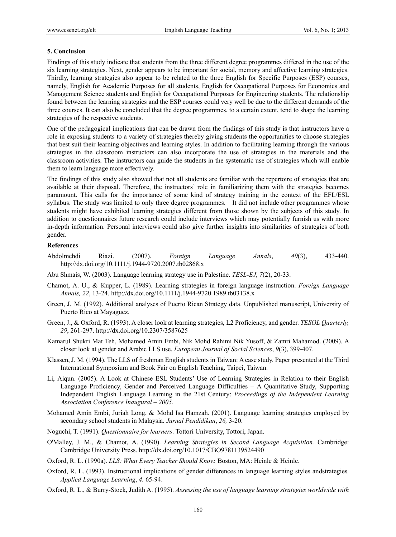#### **5. Conclusion**

Findings of this study indicate that students from the three different degree programmes differed in the use of the six learning strategies. Next, gender appears to be important for social, memory and affective learning strategies. Thirdly, learning strategies also appear to be related to the three English for Specific Purposes (ESP) courses, namely, English for Academic Purposes for all students, English for Occupational Purposes for Economics and Management Science students and English for Occupational Purposes for Engineering students. The relationship found between the learning strategies and the ESP courses could very well be due to the different demands of the three courses. It can also be concluded that the degree programmes, to a certain extent, tend to shape the learning strategies of the respective students.

One of the pedagogical implications that can be drawn from the findings of this study is that instructors have a role in exposing students to a variety of strategies thereby giving students the opportunities to choose strategies that best suit their learning objectives and learning styles. In addition to facilitating learning through the various strategies in the classroom instructors can also incorporate the use of strategies in the materials and the classroom activities. The instructors can guide the students in the systematic use of strategies which will enable them to learn language more effectively.

The findings of this study also showed that not all students are familiar with the repertoire of strategies that are available at their disposal. Therefore, the instructors' role in familiarizing them with the strategies becomes paramount. This calls for the importance of some kind of strategy training in the context of the EFL/ESL syllabus. The study was limited to only three degree programmes. It did not include other programmes whose students might have exhibited learning strategies different from those shown by the subjects of this study. In addition to questionnaires future research could include interviews which may potentially furnish us with more in-depth information. Personal interviews could also give further insights into similarities of strategies of both gender.

#### **References**

- Abdolmehdi Riazi. (2007). *Foreign Language Annals*, *40*(3), 433-440. http://dx.doi.org/10.1111/j.1944-9720.2007.tb02868.x
- Abu Shmais, W. (2003). Language learning strategy use in Palestine. *TESL-EJ*, *7*(2), 20-33.
- Chamot, A. U., & Kupper, L. (1989). Learning strategies in foreign language instruction. *Foreign Language Annals, 22*, 13-24. http://dx.doi.org/10.1111/j.1944-9720.1989.tb03138.x
- Green, J. M. (1992). Additional analyses of Puerto Rican Strategy data. Unpublished manuscript, University of Puerto Rico at Mayaguez.
- Green, J., & Oxford, R. (1993). A closer look at learning strategies, L2 Proficiency, and gender. *TESOL Quarterly, 29*, 261-297. http://dx.doi.org/10.2307/3587625
- Kamarul Shukri Mat Teh, Mohamed Amin Embi, Nik Mohd Rahimi Nik Yusoff, & Zamri Mahamod. (2009). A closer look at gender and Arabic LLS use. *European Journal of Social Sciences*, *9*(3), 399-407.
- Klassen, J. M. (1994). The LLS of freshman English students in Taiwan: A case study. Paper presented at the Third International Symposium and Book Fair on English Teaching, Taipei, Taiwan.
- Li, Aiqun. (2005). A Look at Chinese ESL Students' Use of Learning Strategies in Relation to their English Language Proficiency, Gender and Perceived Language Difficulties – A Quantitative Study, Supporting Independent English Language Learning in the 21st Century: *Proceedings of the Independent Learning Association Conference Inaugural – 2005.*
- Mohamed Amin Embi, Juriah Long, & Mohd Isa Hamzah. (2001). Language learning strategies employed by secondary school students in Malaysia. *Jurnal Pendidikan*, *26,* 3-20.
- Noguchi, T. (1991). *Questionnaire for learners*. Tottori University, Tottori, Japan.
- O'Malley, J. M., & Chamot, A. (1990). *Learning Strategies in Second Language Acquisition.* Cambridge: Cambridge University Press. http://dx.doi.org/10.1017/CBO9781139524490

Oxford, R. L. (1990a). *LLS: What Every Teacher Should Know.* Boston, MA: Heinle & Heinle.

- Oxford, R. L. (1993). Instructional implications of gender differences in language learning styles andstrategies*. Applied Language Learning*, *4,* 65-94.
- Oxford, R. L., & Burry-Stock, Judith A. (1995). *Assessing the use of language learning strategies worldwide with*